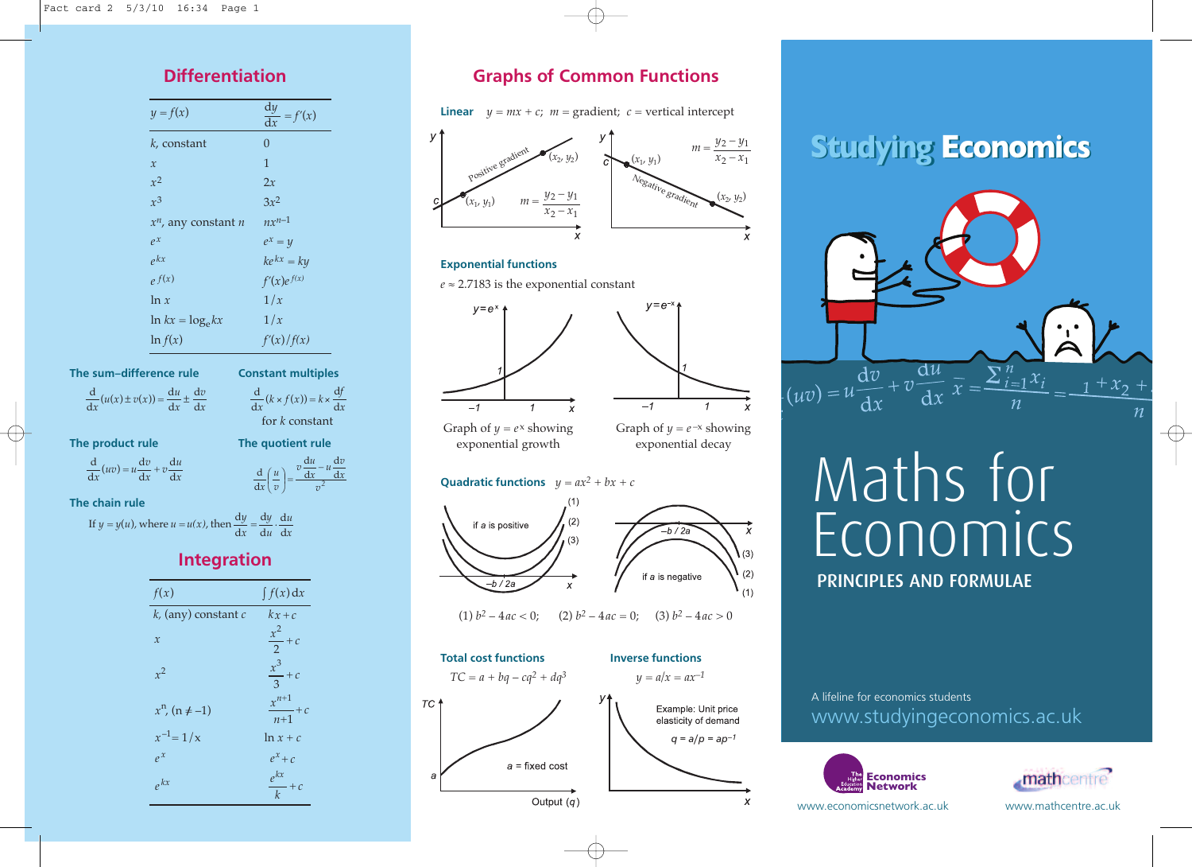| $y = f(x)$                                                    | $\frac{dy}{dx} = f'(x)$                                 |
|---------------------------------------------------------------|---------------------------------------------------------|
| $k$ , constant                                                | $\overline{0}$                                          |
| $\mathcal{X}$                                                 | $\mathbf{1}$                                            |
| $x^2$                                                         | 2x                                                      |
| $x^3$                                                         | $3x^2$                                                  |
| $x^n$ , any constant <i>n</i>                                 | $nx^{n-1}$                                              |
| $\rho x$                                                      | $e^x = y$                                               |
| $e^{kx}$                                                      | $ke^{kx} = ky$                                          |
| $e^{f(x)}$                                                    | $f'(x)e^{f(x)}$                                         |
| ln x                                                          | 1/x                                                     |
| $\ln kx = \log_e kx$                                          | 1/x                                                     |
| $\ln f(x)$                                                    | f'(x)/f(x)                                              |
| The sum-difference rule                                       | <b>Constant multiples</b>                               |
| $rac{d}{dx}(u(x) \pm v(x)) = \frac{du}{dx} \pm \frac{dv}{dx}$ | $rac{d}{dx}$ $(k \times f(x)) = k \times \frac{df}{dx}$ |

*f h**f**k**k* **d** *k*  $\frac{1}{2}$  d  $\frac{1}{2}$ <sup>d</sup> *<sup>=</sup> <sup>v</sup> uv <sup>u</sup> <sup>x</sup>* <sup>d</sup>  $\mathcal{O}(\mathcal{O})$ 

*<sup>f</sup> <sup>k</sup> <sup>f</sup> <sup>x</sup> <sup>k</sup> <sup>x</sup>* <sup>d</sup>  $\frac{d\lambda}{d\lambda}$ 

 $\frac{d}{dx}(uv) = u\frac{dv}{dx} + v\frac{du}{dx}$  $rac{d}{dx}(uv) = u \frac{dv}{dx} + v \frac{du}{dx}$ d  $u \frac{dv}{dx} + v \frac{du}{dx}$ 

The product rule<br>  $\frac{d}{dx}$   $\frac{d}{dx}$  *du*  $\frac{d}{dx}$  *du du dv*  $\int$  *i*  $\int$  *v*  $\int$  *i*  $\int$  *y*  $\int$  *i*  $\int$  *i*  $\int$  *i*  $\int$  *i*  $\int$  *i*  $\int$  *i*  $\int$  *i*  $\int$  *i*  $\int$  *i*  $\int$  *i*  $\int$  *i*  $\int$  *i*  $\int$  *i*  $\int$  *i*  $\int$  *i*  $\int$  *i*  $\int$  *i*  $\int$  *i*  $\int$  *i*  $\int$  *i*  $\int$  *2* d d d d *v*  $\frac{u}{x} - u \frac{dv}{dx}$  $v\frac{du}{1}$ *v u*  $\frac{d}{x} \left( \frac{u}{v} \right)$ *– =*  $\overline{\phantom{0}}$ ſ  $\overline{u}$  $v^2$ *<sup>u</sup> <sup>v</sup>*

*u* P. d d

*x*

d

*The chain rule* 

 $$ d .<br>De *x <sup>v</sup> <sup>u</sup> <sup>x</sup> <sup>u</sup> <sup>v</sup> x*  $y = y(t)$  $y = y(u)$ , where  $u = u(x)$ , then  $\frac{dy}{dx} = \frac{dy}{du} \cdot \frac{du}{dx}$ *u u y*  $y = y(u)$ , where  $u = u(x)$ , then  $\frac{dy}{dx} = \frac{dy}{du} \cdot \frac{d}{dx}$ . d d If  $y = y(u)$ , where  $u = u(x)$ , then  $\frac{dy}{dx} = \frac{dy}{du} \cdot \frac{du}{dx}$ .

### **Integration** *u y <sup>y</sup> <sup>y</sup> <sup>y</sup> <sup>u</sup> <sup>u</sup> <sup>u</sup> <sup>x</sup>* <sup>d</sup> d d <sup>d</sup> If *<sup>=</sup>* ( )*,* where *<sup>=</sup> ( )*, then *<sup>=</sup> . <sup>y</sup> <sup>y</sup> <sup>y</sup> <sup>u</sup> <sup>u</sup> <sup>u</sup> <sup>x</sup>* <sup>d</sup> <sup>d</sup> If *<sup>=</sup>* ( )*,* where *<sup>=</sup> ( )*, then *<sup>=</sup> .*

| f(x)                     | $\int f(x) dx$          |
|--------------------------|-------------------------|
| $k$ , (any) constant $c$ | $kx+c$                  |
| $\mathcal{X}$            | $\frac{x^2}{2} + c$     |
| $x^2$                    | $\frac{x^3}{3} + c$     |
| $x^n$ , (n $\neq -1$ )   | $\frac{x^{n+1}}{n+1}+c$ |
| $x^{-1} = 1/x$           | $\ln x + c$             |
| $e^{x}$                  | $e^x+c$                 |
| $e^{kx}$                 | $\frac{e^{kx}}{k}+c$    |

# *x***<sub>1</sub>** *x***<sub>2</sub>** *y***<sub>2</sub>** *x***<sub>2</sub>** *x***<sub>2</sub>** *x***<sub>2</sub>** *x***<sub>2</sub>** *x***<sub>2</sub>** *x***<sub>2</sub>** *x***<sub>2</sub>** *x***<sub>2</sub>** *x***<sub>2</sub>** *x***<sub>2</sub>** *x***<sub>2</sub>** *x***<sub>2</sub>** *x***<sub>2</sub>** *x***<sub>2</sub>** *x***<sub>2</sub>** *x***<sub>2</sub>** *x***<sub>2</sub>** *x***<sub>2</sub>** *x***<sub>2</sub>** *x***<sub>2</sub>** *x***<sub>2</sub>** *x***<sub>2</sub>** *x***<sub>2</sub>** *x***<sub>2</sub>** *x***<sub>2</sub>** *x***<sub>2</sub>** *x***<sub>2</sub>** *x***<sub>2</sub>** *x***<sub>**</sub>

**Linear**  $y = mx + c$ ;  $m =$  gradient; *c* = vertical intercept



### **Exponential functions**

 $e \approx 2.7183$  is the exponential constant *x x <sup>y</sup> <sup>y</sup> <sup>m</sup> – – <sup>=</sup>*





 $v = e^{-x}$ 

exponential growth

Graph of  $y = e^{-x}$  showing exponential decay

### **Quadratic functions**  $y = ax^2 + bx + c$



(1)  $b^2 - 4ac < 0$ ; (2)  $b^2 - 4ac = 0$ ; (3)  $b^2 - 4ac > 0$ 



# **Studying Economics**



# Maths for Economics **PRINCIPLES AND FORMULAE**

### www.studyingeconomics.ac.uk A lifeline for economics students





www.economicsnetwork.ac.uk www.mathcentre.ac.uk